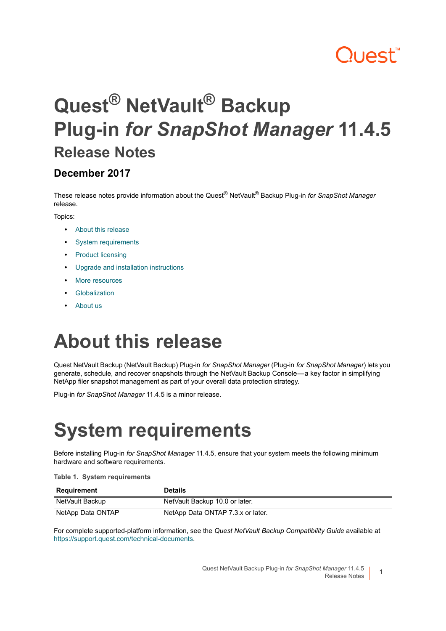## **Quest**

## **Quest® NetVault® Backup Plug-in** *for SnapShot Manager* **11.4.5 Release Notes**

#### **December 2017**

These release notes provide information about the Quest® NetVault® Backup Plug-in *for SnapShot Manager* release.

Topics:

- **•** [About this release](#page-0-0)
- **•** [System requirements](#page-0-1)
- **•** [Product licensing](#page-2-0)
- **•** [Upgrade and installation instructions](#page-3-0)
- **•** [More resources](#page-3-1)
- **•** [Globalization](#page-3-2)
- **•** [About us](#page-3-3)

## <span id="page-0-0"></span>**About this release**

Quest NetVault Backup (NetVault Backup) Plug-in *for SnapShot Manager* (Plug-in *for SnapShot Manager*) lets you generate, schedule, and recover snapshots through the NetVault Backup Console — a key factor in simplifying NetApp filer snapshot management as part of your overall data protection strategy.

Plug-in *for SnapShot Manager* 11.4.5 is a minor release.

## <span id="page-0-1"></span>**System requirements**

Before installing Plug-in *for SnapShot Manager* 11.4.5, ensure that your system meets the following minimum hardware and software requirements.

#### **Table 1. System requirements**

| Requirement       | <b>Details</b>                    |
|-------------------|-----------------------------------|
| NetVault Backup   | NetVault Backup 10.0 or later.    |
| NetApp Data ONTAP | NetApp Data ONTAP 7.3.x or later. |

For complete supported-platform information, see the *Quest NetVault Backup Compatibility Guide* available at [https://support.quest.com/technical-documents.](https://support.quest.com/technical-documents)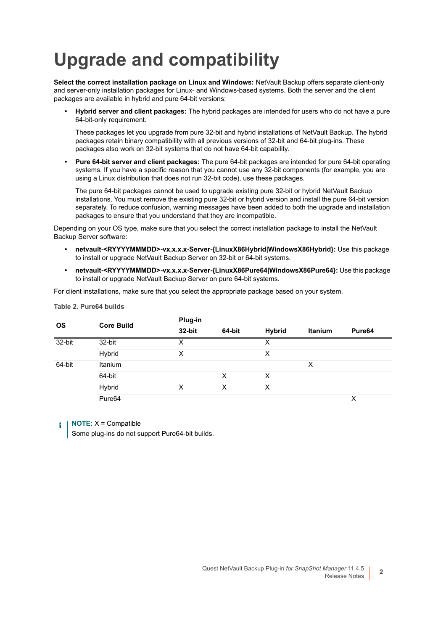## **Upgrade and compatibility**

**Select the correct installation package on Linux and Windows:** NetVault Backup offers separate client-only and server-only installation packages for Linux- and Windows-based systems. Both the server and the client packages are available in hybrid and pure 64-bit versions:

**• Hybrid server and client packages:** The hybrid packages are intended for users who do not have a pure 64-bit-only requirement.

These packages let you upgrade from pure 32-bit and hybrid installations of NetVault Backup. The hybrid packages retain binary compatibility with all previous versions of 32-bit and 64-bit plug-ins. These packages also work on 32-bit systems that do not have 64-bit capability.

**• Pure 64-bit server and client packages:** The pure 64-bit packages are intended for pure 64-bit operating systems. If you have a specific reason that you cannot use any 32-bit components (for example, you are using a Linux distribution that does not run 32-bit code), use these packages.

The pure 64-bit packages cannot be used to upgrade existing pure 32-bit or hybrid NetVault Backup installations. You must remove the existing pure 32-bit or hybrid version and install the pure 64-bit version separately. To reduce confusion, warning messages have been added to both the upgrade and installation packages to ensure that you understand that they are incompatible.

Depending on your OS type, make sure that you select the correct installation package to install the NetVault Backup Server software:

- **netvault-<RYYYYMMMDD>-vx.x.x.x-Server-{LinuxX86Hybrid|WindowsX86Hybrid}:** Use this package to install or upgrade NetVault Backup Server on 32-bit or 64-bit systems.
- **netvault-<RYYYYMMMDD>-vx.x.x.x-Server-{LinuxX86Pure64|WindowsX86Pure64}:** Use this package to install or upgrade NetVault Backup Server on pure 64-bit systems.

For client installations, make sure that you select the appropriate package based on your system.

| <b>OS</b> | <b>Core Build</b>  | Plug-in |        |               |                |                    |
|-----------|--------------------|---------|--------|---------------|----------------|--------------------|
|           |                    | 32-bit  | 64-bit | <b>Hybrid</b> | <b>Itanium</b> | Pure <sub>64</sub> |
| $32-bit$  | 32-bit             | х       |        | Χ             |                |                    |
|           | Hybrid             | X       |        | х             |                |                    |
| 64-bit    | Itanium            |         |        |               | X              |                    |
|           | 64-bit             |         | X      | X             |                |                    |
|           | Hybrid             | X       | X      | X             |                |                    |
|           | Pure <sub>64</sub> |         |        |               |                | X                  |

**Table 2. Pure64 builds**

**NOTE:** X = Compatible

Some plug-ins do not support Pure64-bit builds.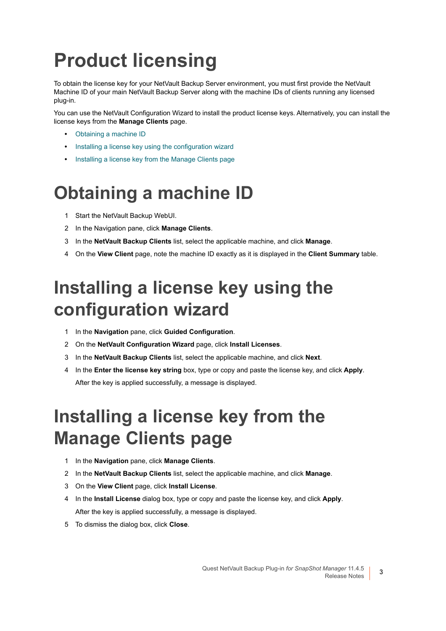## <span id="page-2-0"></span>**Product licensing**

To obtain the license key for your NetVault Backup Server environment, you must first provide the NetVault Machine ID of your main NetVault Backup Server along with the machine IDs of clients running any licensed plug-in.

You can use the NetVault Configuration Wizard to install the product license keys. Alternatively, you can install the license keys from the **Manage Clients** page.

- **•** [Obtaining a machine ID](#page-2-1)
- **•** [Installing a license key using the configuration wizard](#page-2-2)
- **•** [Installing a license key from the Manage Clients page](#page-2-3)

### <span id="page-2-1"></span>**Obtaining a machine ID**

- 1 Start the NetVault Backup WebUI.
- 2 In the Navigation pane, click **Manage Clients**.
- 3 In the **NetVault Backup Clients** list, select the applicable machine, and click **Manage**.
- 4 On the **View Client** page, note the machine ID exactly as it is displayed in the **Client Summary** table.

### <span id="page-2-2"></span>**Installing a license key using the configuration wizard**

- 1 In the **Navigation** pane, click **Guided Configuration**.
- 2 On the **NetVault Configuration Wizard** page, click **Install Licenses**.
- 3 In the **NetVault Backup Clients** list, select the applicable machine, and click **Next**.
- 4 In the **Enter the license key string** box, type or copy and paste the license key, and click **Apply**. After the key is applied successfully, a message is displayed.

### <span id="page-2-3"></span>**Installing a license key from the Manage Clients page**

- 1 In the **Navigation** pane, click **Manage Clients**.
- 2 In the **NetVault Backup Clients** list, select the applicable machine, and click **Manage**.
- 3 On the **View Client** page, click **Install License**.
- 4 In the **Install License** dialog box, type or copy and paste the license key, and click **Apply**. After the key is applied successfully, a message is displayed.
- 5 To dismiss the dialog box, click **Close**.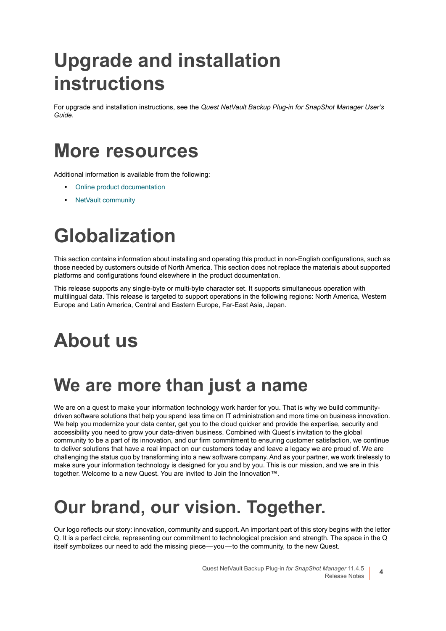## <span id="page-3-0"></span>**Upgrade and installation instructions**

For upgrade and installation instructions, see the *Quest NetVault Backup Plug-in for SnapShot Manager User's Guide*.

### <span id="page-3-1"></span>**More resources**

Additional information is available from the following:

- **•** [Online product documentation](https://support.quest.com/technical-documents/)
- **•** [NetVault community](https://www.quest.com/community/products/netvault/)

# <span id="page-3-2"></span>**Globalization**

This section contains information about installing and operating this product in non-English configurations, such as those needed by customers outside of North America. This section does not replace the materials about supported platforms and configurations found elsewhere in the product documentation.

This release supports any single-byte or multi-byte character set. It supports simultaneous operation with multilingual data. This release is targeted to support operations in the following regions: North America, Western Europe and Latin America, Central and Eastern Europe, Far-East Asia, Japan.

## <span id="page-3-3"></span>**About us**

### **We are more than just a name**

We are on a quest to make your information technology work harder for you. That is why we build communitydriven software solutions that help you spend less time on IT administration and more time on business innovation. We help you modernize your data center, get you to the cloud quicker and provide the expertise, security and accessibility you need to grow your data-driven business. Combined with Quest's invitation to the global community to be a part of its innovation, and our firm commitment to ensuring customer satisfaction, we continue to deliver solutions that have a real impact on our customers today and leave a legacy we are proud of. We are challenging the status quo by transforming into a new software company. And as your partner, we work tirelessly to make sure your information technology is designed for you and by you. This is our mission, and we are in this together. Welcome to a new Quest. You are invited to Join the Innovation™.

### **Our brand, our vision. Together.**

Our logo reflects our story: innovation, community and support. An important part of this story begins with the letter Q. It is a perfect circle, representing our commitment to technological precision and strength. The space in the Q itself symbolizes our need to add the missing piece — you — to the community, to the new Quest.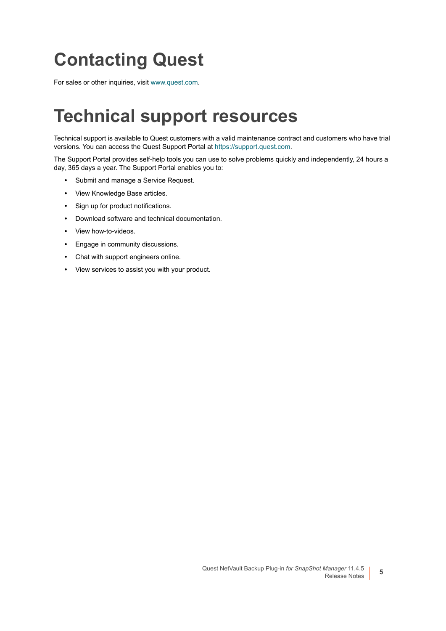### **Contacting Quest**

For sales or other inquiries, visit [www.quest.com](https://www.quest.com/company/contact-us.aspx).

### **Technical support resources**

Technical support is available to Quest customers with a valid maintenance contract and customers who have trial versions. You can access the Quest Support Portal at [https://support.quest.com.](https://support.quest.com)

The Support Portal provides self-help tools you can use to solve problems quickly and independently, 24 hours a day, 365 days a year. The Support Portal enables you to:

- **•** Submit and manage a Service Request.
- **•** View Knowledge Base articles.
- **•** Sign up for product notifications.
- **•** Download software and technical documentation.
- **•** View how-to-videos.
- **•** Engage in community discussions.
- **•** Chat with support engineers online.
- **•** View services to assist you with your product.